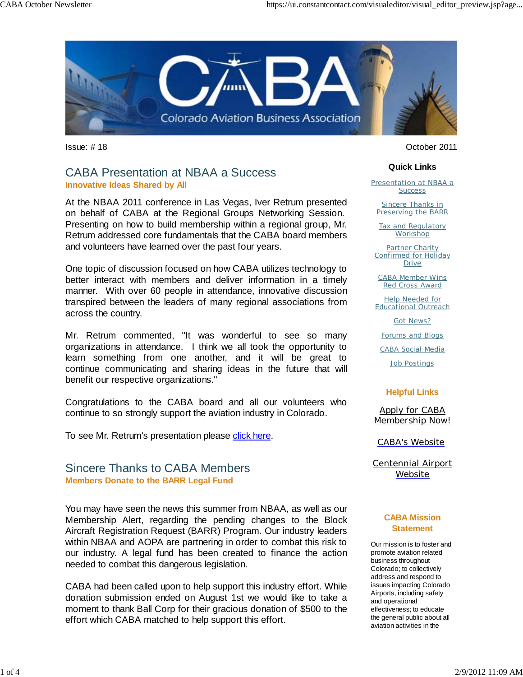

### CABA Presentation at NBAA a Success **Innovative Ideas Shared by All**

At the NBAA 2011 conference in Las Vegas, Iver Retrum presented on behalf of CABA at the Regional Groups Networking Session. Presenting on how to build membership within a regional group, Mr. Retrum addressed core fundamentals that the CABA board members and volunteers have learned over the past four years.

One topic of discussion focused on how CABA utilizes technology to better interact with members and deliver information in a timely manner. With over 60 people in attendance, innovative discussion transpired between the leaders of many regional associations from across the country.

Mr. Retrum commented, "It was wonderful to see so many organizations in attendance. I think we all took the opportunity to learn something from one another, and it will be great to continue communicating and sharing ideas in the future that will benefit our respective organizations."

Congratulations to the CABA board and all our volunteers who continue to so strongly support the aviation industry in Colorado.

To see Mr. Retrum's presentation please click here.

### Sincere Thanks to CABA Members **Members Donate to the BARR Legal Fund**

You may have seen the news this summer from NBAA, as well as our Membership Alert, regarding the pending changes to the Block Aircraft Registration Request (BARR) Program. Our industry leaders within NBAA and AOPA are partnering in order to combat this risk to our industry. A legal fund has been created to finance the action needed to combat this dangerous legislation.

CABA had been called upon to help support this industry effort. While donation submission ended on August 1st we would like to take a moment to thank Ball Corp for their gracious donation of \$500 to the effort which CABA matched to help support this effort.

Issue: # 18 October 2011

#### **Quick Links**

Presentation at NBAA a **Success** 

**Sincere Thanks in** Preserving the BARR

Tax and Regulatory **Workshop** 

Partner Charity Confirmed for Holiday **Drive** 

CABA Member Wins Red Cross Award

Help Needed for Educational Outreach

Got News?

Forums and Blogs

CABA Social Media

Job Postings

#### **Helpful Links**

Apply for CABA Membership Now!

CABA's Website

Centennial Airport Website

#### **CABA Mission Statement**

Our mission is to foster and promote aviation related business throughout Colorado; to collectively address and respond to issues impacting Colorado Airports, including safety and operational effectiveness; to educate the general public about all aviation activities in the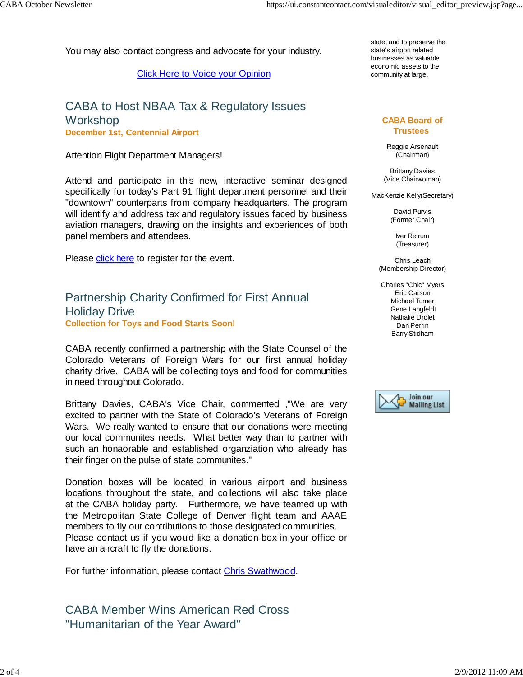You may also contact congress and advocate for your industry.

Click Here to Voice your Opinion

## CABA to Host NBAA Tax & Regulatory Issues Workshop **December 1st, Centennial Airport**

#### Attention Flight Department Managers!

Attend and participate in this new, interactive seminar designed specifically for today's Part 91 flight department personnel and their "downtown" counterparts from company headquarters. The program will identify and address tax and regulatory issues faced by business aviation managers, drawing on the insights and experiences of both panel members and attendees.

Please click here to register for the event.

## Partnership Charity Confirmed for First Annual Holiday Drive **Collection for Toys and Food Starts Soon!**

CABA recently confirmed a partnership with the State Counsel of the Colorado Veterans of Foreign Wars for our first annual holiday charity drive. CABA will be collecting toys and food for communities in need throughout Colorado.

Brittany Davies, CABA's Vice Chair, commented ,"We are very excited to partner with the State of Colorado's Veterans of Foreign Wars. We really wanted to ensure that our donations were meeting our local communites needs. What better way than to partner with such an honaorable and established organziation who already has their finger on the pulse of state communites."

Donation boxes will be located in various airport and business locations throughout the state, and collections will also take place at the CABA holiday party. Furthermore, we have teamed up with the Metropolitan State College of Denver flight team and AAAE members to fly our contributions to those designated communities. Please contact us if you would like a donation box in your office or have an aircraft to fly the donations.

For further information, please contact Chris Swathwood.

## CABA Member Wins American Red Cross "Humanitarian of the Year Award"

state, and to preserve the state's airport related businesses as valuable economic assets to the community at large.

#### **CABA Board of Trustees**

Reggie Arsenault (Chairman)

Brittany Davies (Vice Chairwoman)

MacKenzie Kelly(Secretary)

David Purvis (Former Chair)

> Iver Retrum (Treasurer)

Chris Leach (Membership Director)

Charles "Chic" Myers Eric Carson Michael Turner Gene Langfeldt Nathalie Drolet Dan Perrin Barry Stidham

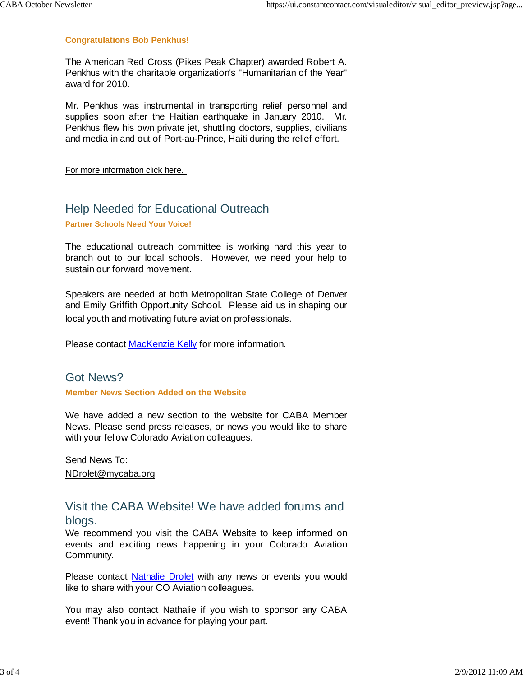#### **Congratulations Bob Penkhus!**

The American Red Cross (Pikes Peak Chapter) awarded Robert A. Penkhus with the charitable organization's "Humanitarian of the Year" award for 2010.

Mr. Penkhus was instrumental in transporting relief personnel and supplies soon after the Haitian earthquake in January 2010. Mr. Penkhus flew his own private jet, shuttling doctors, supplies, civilians and media in and out of Port-au-Prince, Haiti during the relief effort.

For more information click here.

## Help Needed for Educational Outreach

**Partner Schools Need Your Voice!** 

The educational outreach committee is working hard this year to branch out to our local schools. However, we need your help to sustain our forward movement.

Speakers are needed at both Metropolitan State College of Denver and Emily Griffith Opportunity School. Please aid us in shaping our local youth and motivating future aviation professionals.

Please contact MacKenzie Kelly for more information.

### Got News?

#### **Member News Section Added on the Website**

We have added a new section to the website for CABA Member News. Please send press releases, or news you would like to share with your fellow Colorado Aviation colleagues.

Send News To: NDrolet@mycaba.org

## Visit the CABA Website! We have added forums and blogs.

We recommend you visit the CABA Website to keep informed on events and exciting news happening in your Colorado Aviation Community.

Please contact Nathalie Drolet with any news or events you would like to share with your CO Aviation colleagues.

You may also contact Nathalie if you wish to sponsor any CABA event! Thank you in advance for playing your part.